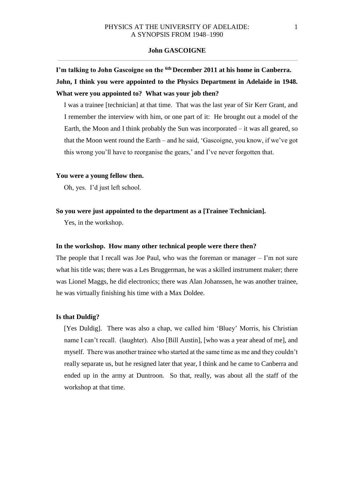# **I'm talking to John Gascoigne on the 6th December 2011 at his home in Canberra. John, I think you were appointed to the Physics Department in Adelaide in 1948. What were you appointed to? What was your job then?**

I was a trainee [technician] at that time. That was the last year of Sir Kerr Grant, and I remember the interview with him, or one part of it: He brought out a model of the Earth, the Moon and I think probably the Sun was incorporated – it was all geared, so that the Moon went round the Earth – and he said, 'Gascoigne, you know, if we've got this wrong you'll have to reorganise the gears,' and I've never forgotten that.

### **You were a young fellow then.**

Oh, yes. I'd just left school.

### **So you were just appointed to the department as a [Trainee Technician].**

Yes, in the workshop.

## **In the workshop. How many other technical people were there then?**

The people that I recall was Joe Paul, who was the foreman or manager  $-1$ 'm not sure what his title was; there was a Les Bruggerman, he was a skilled instrument maker; there was Lionel Maggs, he did electronics; there was Alan Johanssen, he was another trainee, he was virtually finishing his time with a Max Doldee.

#### **Is that Duldig?**

[Yes Duldig]. There was also a chap, we called him 'Bluey' Morris, his Christian name I can't recall. (laughter). Also [Bill Austin], [who was a year ahead of me], and myself. There was another trainee who started at the same time as me and they couldn't really separate us, but he resigned later that year, I think and he came to Canberra and ended up in the army at Duntroon. So that, really, was about all the staff of the workshop at that time.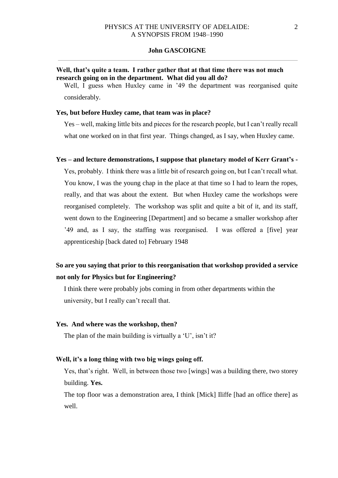## **Well, that's quite a team. I rather gather that at that time there was not much research going on in the department. What did you all do?**

Well, I guess when Huxley came in '49 the department was reorganised quite considerably.

### **Yes, but before Huxley came, that team was in place?**

Yes – well, making little bits and pieces for the research people, but I can't really recall what one worked on in that first year. Things changed, as I say, when Huxley came.

### **Yes – and lecture demonstrations, I suppose that planetary model of Kerr Grant's -**

Yes, probably. I think there was a little bit of research going on, but I can't recall what. You know, I was the young chap in the place at that time so I had to learn the ropes, really, and that was about the extent. But when Huxley came the workshops were reorganised completely. The workshop was split and quite a bit of it, and its staff, went down to the Engineering [Department] and so became a smaller workshop after '49 and, as I say, the staffing was reorganised. I was offered a [five] year apprenticeship [back dated to] February 1948

## **So are you saying that prior to this reorganisation that workshop provided a service not only for Physics but for Engineering?**

I think there were probably jobs coming in from other departments within the university, but I really can't recall that.

#### **Yes. And where was the workshop, then?**

The plan of the main building is virtually a 'U', isn't it?

## **Well, it's a long thing with two big wings going off.**

Yes, that's right. Well, in between those two [wings] was a building there, two storey building. **Yes.** 

The top floor was a demonstration area, I think [Mick] Iliffe [had an office there] as well.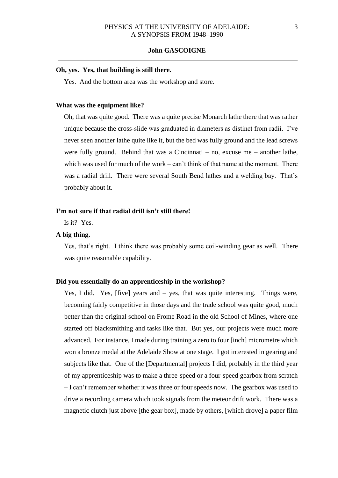## **Oh, yes. Yes, that building is still there.**

Yes. And the bottom area was the workshop and store.

#### **What was the equipment like?**

Oh, that was quite good. There was a quite precise Monarch lathe there that was rather unique because the cross-slide was graduated in diameters as distinct from radii. I've never seen another lathe quite like it, but the bed was fully ground and the lead screws were fully ground. Behind that was a Cincinnati  $-$  no, excuse me  $-$  another lathe, which was used for much of the work – can't think of that name at the moment. There was a radial drill. There were several South Bend lathes and a welding bay. That's probably about it.

## **I'm not sure if that radial drill isn't still there!**

Is it? Yes.

## **A big thing.**

Yes, that's right. I think there was probably some coil-winding gear as well. There was quite reasonable capability.

#### **Did you essentially do an apprenticeship in the workshop?**

Yes, I did. Yes, [five] years and – yes, that was quite interesting. Things were, becoming fairly competitive in those days and the trade school was quite good, much better than the original school on Frome Road in the old School of Mines, where one started off blacksmithing and tasks like that. But yes, our projects were much more advanced. For instance, I made during training a zero to four [inch] micrometre which won a bronze medal at the Adelaide Show at one stage. I got interested in gearing and subjects like that. One of the [Departmental] projects I did, probably in the third year of my apprenticeship was to make a three-speed or a four-speed gearbox from scratch – I can't remember whether it was three or four speeds now. The gearbox was used to drive a recording camera which took signals from the meteor drift work. There was a magnetic clutch just above [the gear box], made by others, [which drove] a paper film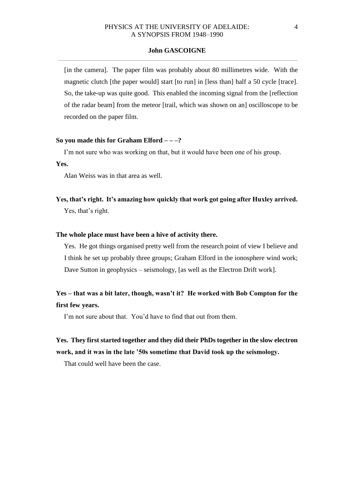## PHYSICS AT THE UNIVERSITY OF ADELAIDE: 4 A SYNOPSIS FROM 1948–1990

#### **John GASCOIGNE**

[in the camera]. The paper film was probably about 80 millimetres wide. With the magnetic clutch [the paper would] start [to run] in [less than] half a 50 cycle [trace]. So, the take-up was quite good. This enabled the incoming signal from the [reflection of the radar beam] from the meteor [trail, which was shown on an] oscilloscope to be recorded on the paper film.

#### **So you made this for Graham Elford – – –?**

I'm not sure who was working on that, but it would have been one of his group.

**Yes.** 

Alan Weiss was in that area as well.

**Yes, that's right. It's amazing how quickly that work got going after Huxley arrived.**  Yes, that's right.

#### **The whole place must have been a hive of activity there.**

Yes. He got things organised pretty well from the research point of view I believe and I think he set up probably three groups; Graham Elford in the ionosphere wind work; Dave Sutton in geophysics – seismology, [as well as the Electron Drift work].

# **Yes – that was a bit later, though, wasn't it? He worked with Bob Compton for the first few years.**

I'm not sure about that. You'd have to find that out from them.

# **Yes. They first started together and they did their PhDs together in the slow electron work, and it was in the late '50s sometime that David took up the seismology.**

That could well have been the case.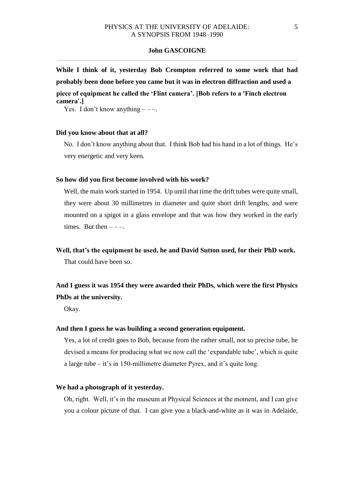**While I think of it, yesterday Bob Crompton referred to some work that had probably been done before you came but it was in electron diffraction and used a piece of equipment he called the 'Flint camera'. [Bob refers to a 'Finch electron camera'.]** 

Yes. I don't know anything  $---$ .

#### **Did you know about that at all?**

No. I don't know anything about that. I think Bob had his hand in a lot of things. He's very energetic and very keen.

#### **So how did you first become involved with his work?**

Well, the main work started in 1954. Up until that time the drift tubes were quite small, they were about 30 millimetres in diameter and quite short drift lengths, and were mounted on a spigot in a glass envelope and that was how they worked in the early times. But then  $---$ .

**Well, that's the equipment he used, he and David Sutton used, for their PhD work.**  That could have been so.

# **And I guess it was 1954 they were awarded their PhDs, which were the first Physics PhDs at the university.**

Okay.

#### **And then I guess he was building a second generation equipment.**

Yes, a lot of credit goes to Bob, because from the rather small, not so precise tube, he devised a means for producing what we now call the 'expandable tube', which is quite a large tube – it's in 150-millimetre diameter Pyrex, and it's quite long.

#### **We had a photograph of it yesterday.**

Oh, right. Well, it's in the museum at Physical Sciences at the moment, and I can give you a colour picture of that. I can give you a black-and-white as it was in Adelaide,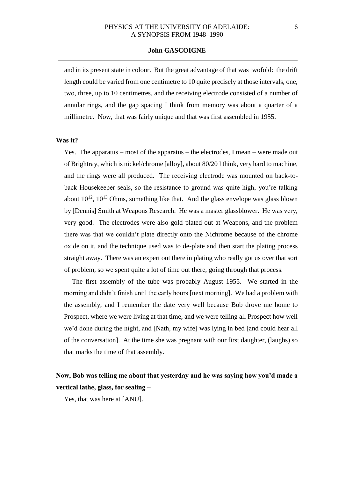and in its present state in colour. But the great advantage of that was twofold: the drift length could be varied from one centimetre to 10 quite precisely at those intervals, one, two, three, up to 10 centimetres, and the receiving electrode consisted of a number of annular rings, and the gap spacing I think from memory was about a quarter of a millimetre. Now, that was fairly unique and that was first assembled in 1955.

### **Was it?**

Yes. The apparatus – most of the apparatus – the electrodes, I mean – were made out of Brightray, which is nickel/chrome [alloy], about 80/20 I think, very hard to machine, and the rings were all produced. The receiving electrode was mounted on back-toback Housekeeper seals, so the resistance to ground was quite high, you're talking about  $10^{12}$ ,  $10^{13}$  Ohms, something like that. And the glass envelope was glass blown by [Dennis] Smith at Weapons Research. He was a master glassblower. He was very, very good. The electrodes were also gold plated out at Weapons, and the problem there was that we couldn't plate directly onto the Nichrome because of the chrome oxide on it, and the technique used was to de-plate and then start the plating process straight away. There was an expert out there in plating who really got us over that sort of problem, so we spent quite a lot of time out there, going through that process.

The first assembly of the tube was probably August 1955. We started in the morning and didn't finish until the early hours [next morning]. We had a problem with the assembly, and I remember the date very well because Bob drove me home to Prospect, where we were living at that time, and we were telling all Prospect how well we'd done during the night, and [Nath, my wife] was lying in bed [and could hear all of the conversation]. At the time she was pregnant with our first daughter, (laughs) so that marks the time of that assembly.

## **Now, Bob was telling me about that yesterday and he was saying how you'd made a vertical lathe, glass, for sealing –**

Yes, that was here at [ANU].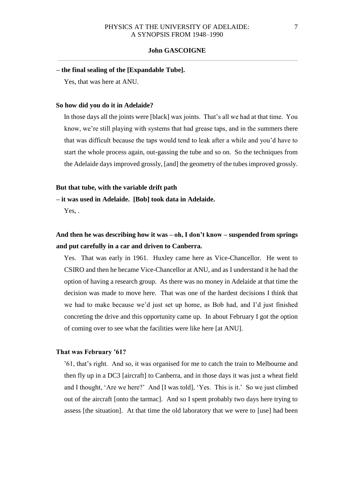#### **– the final sealing of the [Expandable Tube].**

Yes, that was here at ANU.

#### **So how did you do it in Adelaide?**

In those days all the joints were [black] wax joints. That's all we had at that time. You know, we're still playing with systems that had grease taps, and in the summers there that was difficult because the taps would tend to leak after a while and you'd have to start the whole process again, out-gassing the tube and so on. So the techniques from the Adelaide days improved grossly, [and] the geometry of the tubes improved grossly.

#### **But that tube, with the variable drift path**

**– it was used in Adelaide. [Bob] took data in Adelaide.** 

Yes.

## **And then he was describing how it was – oh, I don't know – suspended from springs and put carefully in a car and driven to Canberra.**

Yes. That was early in 1961. Huxley came here as Vice-Chancellor. He went to CSIRO and then he became Vice-Chancellor at ANU, and as I understand it he had the option of having a research group. As there was no money in Adelaide at that time the decision was made to move here. That was one of the hardest decisions I think that we had to make because we'd just set up home, as Bob had, and I'd just finished concreting the drive and this opportunity came up. In about February I got the option of coming over to see what the facilities were like here [at ANU].

#### **That was February '61?**

'61, that's right. And so, it was organised for me to catch the train to Melbourne and then fly up in a DC3 [aircraft] to Canberra, and in those days it was just a wheat field and I thought, 'Are we here?' And [I was told], 'Yes. This is it.' So we just climbed out of the aircraft [onto the tarmac]. And so I spent probably two days here trying to assess [the situation]. At that time the old laboratory that we were to [use] had been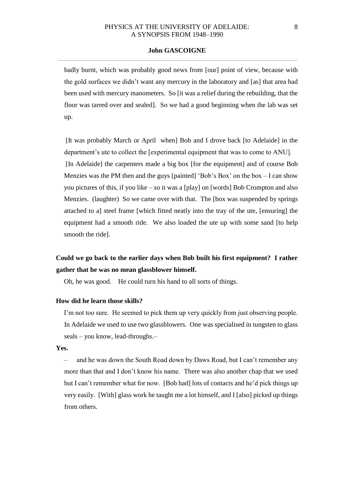## PHYSICS AT THE UNIVERSITY OF ADELAIDE: 8 A SYNOPSIS FROM 1948–1990

### **John GASCOIGNE**

badly burnt, which was probably good news from [our] point of view, because with the gold surfaces we didn't want any mercury in the laboratory and [as] that area had been used with mercury manometers. So [it was a relief during the rebuilding, that the floor was tarred over and sealed]. So we had a good beginning when the lab was set up.

[It was probably March or April when] Bob and I drove back [to Adelaide] in the department's ute to collect the [experimental equipment that was to come to ANU]. [In Adelaide] the carpenters made a big box [for the equipment] and of course Bob Menzies was the PM then and the guys [painted] 'Bob's Box' on the box  $-$  I can show you pictures of this, if you like – so it was a [play] on [words] Bob Crompton and also Menzies. (laughter) So we came over with that. The [box was suspended by springs attached to a] steel frame [which fitted neatly into the tray of the ute, [ensuring] the equipment had a smooth ride. We also loaded the ute up with some sand [to help smooth the ride].

## **Could we go back to the earlier days when Bob built his first equipment? I rather gather that he was no mean glassblower himself.**

Oh, he was good. He could turn his hand to all sorts of things.

### **How did he learn those skills?**

I'm not too sure. He seemed to pick them up very quickly from just observing people. In Adelaide we used to use two glassblowers. One was specialised in tungsten to glass seals – you know, lead-throughs.–

### **Yes.**

– and he was down the South Road down by Daws Road, but I can't remember any more than that and I don't know his name. There was also another chap that we used but I can't remember what for now. [Bob had] lots of contacts and he'd pick things up very easily. [With] glass work he taught me a lot himself, and I [also] picked up things from others.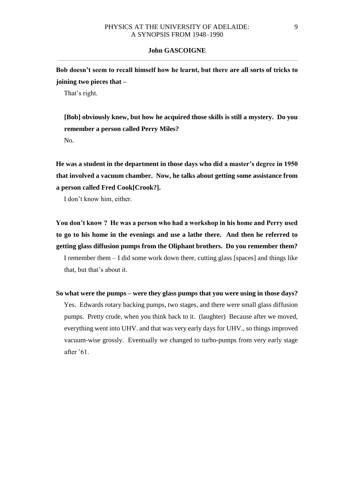**Bob doesn't seem to recall himself how he learnt, but there are all sorts of tricks to joining two pieces that –** 

That's right.

**[Bob] obviously knew, but how he acquired those skills is still a mystery. Do you remember a person called Perry Miles?**  No.

**He was a student in the department in those days who did a master's degree in 1950 that involved a vacuum chamber. Now, he talks about getting some assistance from a person called Fred Cook[Crook?].** 

I don't know him, either.

**You don't know ? He was a person who had a workshop in his home and Perry used to go to his home in the evenings and use a lathe there. And then he referred to getting glass diffusion pumps from the Oliphant brothers. Do you remember them?**  I remember them – I did some work down there, cutting glass [spaces] and things like that, but that's about it.

**So what were the pumps – were they glass pumps that you were using in those days?**  Yes. Edwards rotary backing pumps, two stages, and there were small glass diffusion pumps. Pretty crude, when you think back to it. (laughter) Because after we moved, everything went into UHV. and that was very early days for UHV., so things improved vacuum-wise grossly. Eventually we changed to turbo-pumps from very early stage after '61.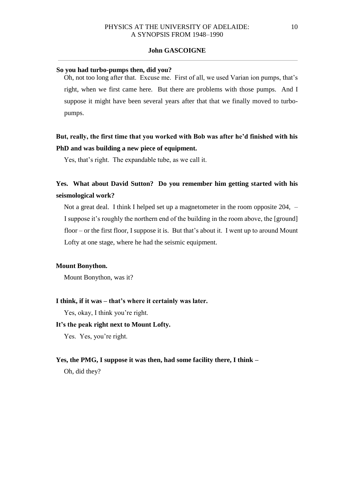#### **So you had turbo-pumps then, did you?**

Oh, not too long after that. Excuse me. First of all, we used Varian ion pumps, that's right, when we first came here. But there are problems with those pumps. And I suppose it might have been several years after that that we finally moved to turbopumps.

## **But, really, the first time that you worked with Bob was after he'd finished with his PhD and was building a new piece of equipment.**

Yes, that's right. The expandable tube, as we call it.

## **Yes. What about David Sutton? Do you remember him getting started with his seismological work?**

Not a great deal. I think I helped set up a magnetometer in the room opposite 204, – I suppose it's roughly the northern end of the building in the room above, the [ground] floor – or the first floor, I suppose it is. But that's about it. I went up to around Mount Lofty at one stage, where he had the seismic equipment.

### **Mount Bonython.**

Mount Bonython, was it?

#### **I think, if it was – that's where it certainly was later.**

Yes, okay, I think you're right.

#### **It's the peak right next to Mount Lofty.**

Yes. Yes, you're right.

#### **Yes, the PMG, I suppose it was then, had some facility there, I think –**

Oh, did they?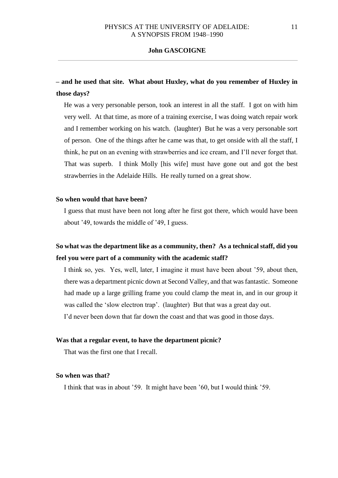# **– and he used that site. What about Huxley, what do you remember of Huxley in those days?**

He was a very personable person, took an interest in all the staff. I got on with him very well. At that time, as more of a training exercise, I was doing watch repair work and I remember working on his watch. (laughter) But he was a very personable sort of person. One of the things after he came was that, to get onside with all the staff, I think, he put on an evening with strawberries and ice cream, and I'll never forget that. That was superb. I think Molly [his wife] must have gone out and got the best strawberries in the Adelaide Hills. He really turned on a great show.

### **So when would that have been?**

I guess that must have been not long after he first got there, which would have been about '49, towards the middle of '49, I guess.

# **So what was the department like as a community, then? As a technical staff, did you feel you were part of a community with the academic staff?**

I think so, yes. Yes, well, later, I imagine it must have been about '59, about then, there was a department picnic down at Second Valley, and that was fantastic. Someone had made up a large grilling frame you could clamp the meat in, and in our group it was called the 'slow electron trap'. (laughter) But that was a great day out. I'd never been down that far down the coast and that was good in those days.

### **Was that a regular event, to have the department picnic?**

That was the first one that I recall.

## **So when was that?**

I think that was in about '59. It might have been '60, but I would think '59.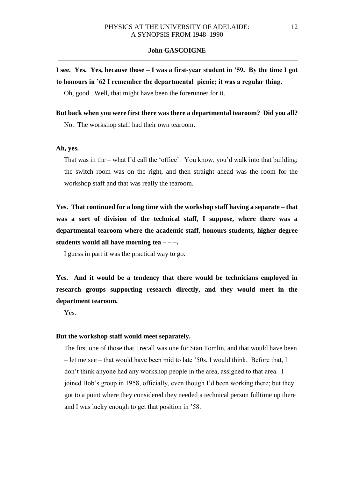# **I see. Yes. Yes, because those – I was a first-year student in '59. By the time I got to honours in '62 I remember the departmental picnic; it was a regular thing.**

Oh, good. Well, that might have been the forerunner for it.

# **But back when you were first there was there a departmental tearoom? Did you all?** No. The workshop staff had their own tearoom.

#### **Ah, yes.**

That was in the – what I'd call the 'office'. You know, you'd walk into that building; the switch room was on the right, and then straight ahead was the room for the workshop staff and that was really the tearoom.

**Yes. That continued for a long time with the workshop staff having a separate – that was a sort of division of the technical staff, I suppose, where there was a departmental tearoom where the academic staff, honours students, higher-degree students would all have morning tea – – –.** 

I guess in part it was the practical way to go.

**Yes. And it would be a tendency that there would be technicians employed in research groups supporting research directly, and they would meet in the department tearoom.** 

Yes.

### **But the workshop staff would meet separately.**

The first one of those that I recall was one for Stan Tomlin, and that would have been – let me see – that would have been mid to late '50s, I would think. Before that, I don't think anyone had any workshop people in the area, assigned to that area. I joined Bob's group in 1958, officially, even though I'd been working there; but they got to a point where they considered they needed a technical person fulltime up there and I was lucky enough to get that position in '58.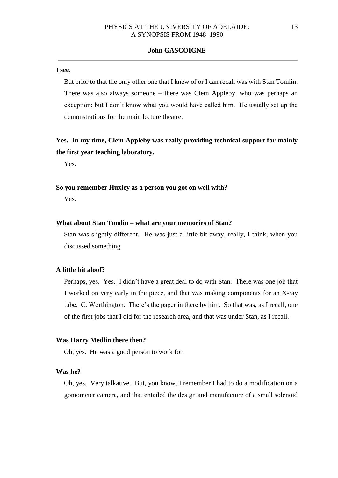#### **I see.**

But prior to that the only other one that I knew of or I can recall was with Stan Tomlin. There was also always someone – there was Clem Appleby, who was perhaps an exception; but I don't know what you would have called him. He usually set up the demonstrations for the main lecture theatre.

# **Yes. In my time, Clem Appleby was really providing technical support for mainly the first year teaching laboratory.**

Yes.

## **So you remember Huxley as a person you got on well with?**

Yes.

### **What about Stan Tomlin – what are your memories of Stan?**

Stan was slightly different. He was just a little bit away, really, I think, when you discussed something.

#### **A little bit aloof?**

Perhaps, yes. Yes. I didn't have a great deal to do with Stan. There was one job that I worked on very early in the piece, and that was making components for an X-ray tube. C. Worthington. There's the paper in there by him. So that was, as I recall, one of the first jobs that I did for the research area, and that was under Stan, as I recall.

#### **Was Harry Medlin there then?**

Oh, yes. He was a good person to work for.

## **Was he?**

Oh, yes. Very talkative. But, you know, I remember I had to do a modification on a goniometer camera, and that entailed the design and manufacture of a small solenoid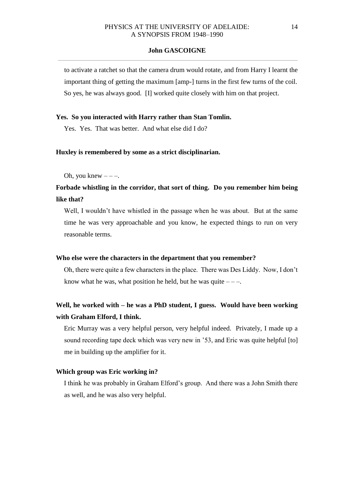to activate a ratchet so that the camera drum would rotate, and from Harry I learnt the important thing of getting the maximum [amp-] turns in the first few turns of the coil. So yes, he was always good. [I] worked quite closely with him on that project.

### **Yes. So you interacted with Harry rather than Stan Tomlin.**

Yes. Yes. That was better. And what else did I do?

### **Huxley is remembered by some as a strict disciplinarian.**

Oh, you knew  $---$ .

**Forbade whistling in the corridor, that sort of thing. Do you remember him being like that?** 

Well, I wouldn't have whistled in the passage when he was about. But at the same time he was very approachable and you know, he expected things to run on very reasonable terms.

### **Who else were the characters in the department that you remember?**

Oh, there were quite a few characters in the place. There was Des Liddy. Now, I don't know what he was, what position he held, but he was quite  $---$ .

# **Well, he worked with – he was a PhD student, I guess. Would have been working with Graham Elford, I think.**

Eric Murray was a very helpful person, very helpful indeed. Privately, I made up a sound recording tape deck which was very new in '53, and Eric was quite helpful [to] me in building up the amplifier for it.

### **Which group was Eric working in?**

I think he was probably in Graham Elford's group. And there was a John Smith there as well, and he was also very helpful.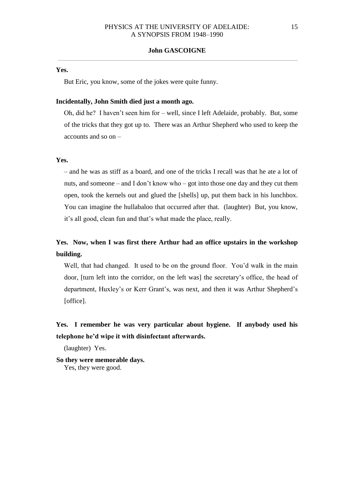#### **Yes.**

But Eric, you know, some of the jokes were quite funny.

### **Incidentally, John Smith died just a month ago.**

Oh, did he? I haven't seen him for – well, since I left Adelaide, probably. But, some of the tricks that they got up to. There was an Arthur Shepherd who used to keep the accounts and so on –

### **Yes.**

– and he was as stiff as a board, and one of the tricks I recall was that he ate a lot of nuts, and someone – and I don't know who – got into those one day and they cut them open, took the kernels out and glued the [shells] up, put them back in his lunchbox. You can imagine the hullabaloo that occurred after that. (laughter) But, you know, it's all good, clean fun and that's what made the place, really.

# **Yes. Now, when I was first there Arthur had an office upstairs in the workshop building.**

Well, that had changed. It used to be on the ground floor. You'd walk in the main door, [turn left into the corridor, on the left was] the secretary's office, the head of department, Huxley's or Kerr Grant's, was next, and then it was Arthur Shepherd's [office].

# **Yes. I remember he was very particular about hygiene. If anybody used his telephone he'd wipe it with disinfectant afterwards.**

(laughter) Yes.

**So they were memorable days.** 

Yes, they were good.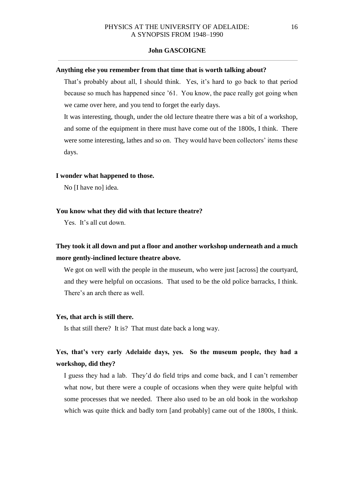#### **Anything else you remember from that time that is worth talking about?**

That's probably about all, I should think. Yes, it's hard to go back to that period because so much has happened since '61. You know, the pace really got going when we came over here, and you tend to forget the early days.

It was interesting, though, under the old lecture theatre there was a bit of a workshop, and some of the equipment in there must have come out of the 1800s, I think. There were some interesting, lathes and so on. They would have been collectors' items these days.

#### **I wonder what happened to those.**

No [I have no] idea.

#### **You know what they did with that lecture theatre?**

Yes. It's all cut down.

# **They took it all down and put a floor and another workshop underneath and a much more gently-inclined lecture theatre above.**

We got on well with the people in the museum, who were just [across] the courtyard, and they were helpful on occasions. That used to be the old police barracks, I think. There's an arch there as well.

#### **Yes, that arch is still there.**

Is that still there? It is? That must date back a long way.

## **Yes, that's very early Adelaide days, yes. So the museum people, they had a workshop, did they?**

I guess they had a lab. They'd do field trips and come back, and I can't remember what now, but there were a couple of occasions when they were quite helpful with some processes that we needed. There also used to be an old book in the workshop which was quite thick and badly torn [and probably] came out of the 1800s, I think.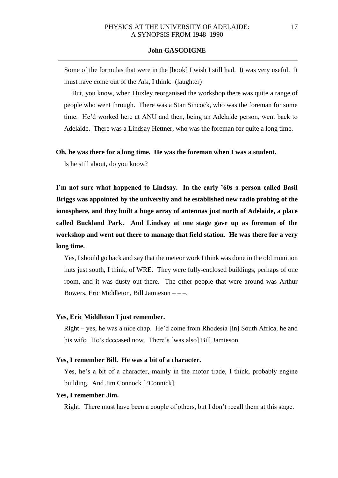Some of the formulas that were in the [book] I wish I still had. It was very useful. It must have come out of the Ark, I think. (laughter)

But, you know, when Huxley reorganised the workshop there was quite a range of people who went through. There was a Stan Sincock, who was the foreman for some time. He'd worked here at ANU and then, being an Adelaide person, went back to Adelaide. There was a Lindsay Hettner, who was the foreman for quite a long time.

#### **Oh, he was there for a long time. He was the foreman when I was a student.**

Is he still about, do you know?

**I'm not sure what happened to Lindsay. In the early '60s a person called Basil Briggs was appointed by the university and he established new radio probing of the ionosphere, and they built a huge array of antennas just north of Adelaide, a place called Buckland Park. And Lindsay at one stage gave up as foreman of the workshop and went out there to manage that field station. He was there for a very long time.** 

Yes, I should go back and say that the meteor work I think was done in the old munition huts just south, I think, of WRE. They were fully-enclosed buildings, perhaps of one room, and it was dusty out there. The other people that were around was Arthur Bowers, Eric Middleton, Bill Jamieson – – –.

### **Yes, Eric Middleton I just remember.**

Right – yes, he was a nice chap. He'd come from Rhodesia [in] South Africa, he and his wife. He's deceased now. There's [was also] Bill Jamieson.

### **Yes, I remember Bill. He was a bit of a character.**

Yes, he's a bit of a character, mainly in the motor trade, I think, probably engine building. And Jim Connock [?Connick].

#### **Yes, I remember Jim.**

Right. There must have been a couple of others, but I don't recall them at this stage.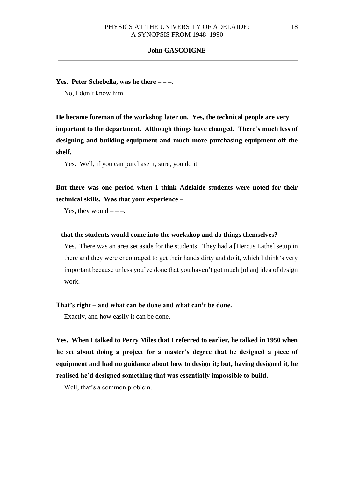**Yes. Peter Schebella, was he there – – –.** 

No, I don't know him.

**He became foreman of the workshop later on. Yes, the technical people are very important to the department. Although things have changed. There's much less of designing and building equipment and much more purchasing equipment off the shelf.** 

Yes. Well, if you can purchase it, sure, you do it.

**But there was one period when I think Adelaide students were noted for their technical skills. Was that your experience –** 

Yes, they would  $---$ .

**– that the students would come into the workshop and do things themselves?** 

Yes. There was an area set aside for the students. They had a [Hercus Lathe] setup in there and they were encouraged to get their hands dirty and do it, which I think's very important because unless you've done that you haven't got much [of an] idea of design work.

## **That's right – and what can be done and what can't be done.**

Exactly, and how easily it can be done.

**Yes. When I talked to Perry Miles that I referred to earlier, he talked in 1950 when he set about doing a project for a master's degree that he designed a piece of equipment and had no guidance about how to design it; but, having designed it, he realised he'd designed something that was essentially impossible to build.** 

Well, that's a common problem.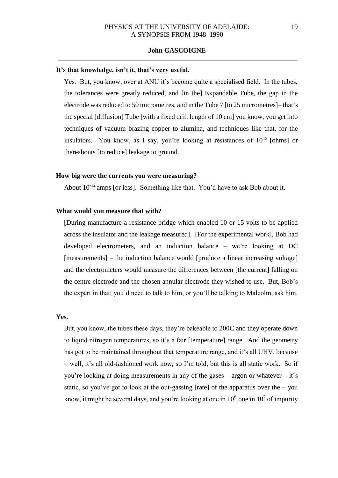#### **It's that knowledge, isn't it, that's very useful.**

Yes. But, you know, over at ANU it's become quite a specialised field. In the tubes, the tolerances were greatly reduced, and [in the] Expandable Tube, the gap in the electrode was reduced to 50 micrometres, and in the Tube 7 [to 25 micrometres]– that's the special [diffusion] Tube [with a fixed drift length of 10 cm] you know, you get into techniques of vacuum brazing copper to alumina, and techniques like that, for the insulators. You know, as I say, you're looking at resistances of  $10^{13}$  [ohms] or thereabouts [to reduce] leakage to ground.

## **How big were the currents you were measuring?**

About  $10^{-12}$  amps [or less]. Something like that. You'd have to ask Bob about it.

## **What would you measure that with?**

[During manufacture a resistance bridge which enabled 10 or 15 volts to be applied across the insulator and the leakage measured]. [For the experimental work], Bob had developed electrometers, and an induction balance – we're looking at DC [measurements] – the induction balance would [produce a linear increasing voltage] and the electrometers would measure the differences between [the current] falling on the centre electrode and the chosen annular electrode they wished to use. But, Bob's the expert in that; you'd need to talk to him, or you'll be talking to Malcolm, ask him.

#### **Yes.**

But, you know, the tubes these days, they're bakeable to 200C and they operate down to liquid nitrogen temperatures, so it's a fair [temperature] range. And the geometry has got to be maintained throughout that temperature range, and it's all UHV. because – well, it's all old-fashioned work now, so I'm told, but this is all static work. So if you're looking at doing measurements in any of the gases – argon or whatever – it's static, so you've got to look at the out-gassing [rate] of the apparatus over the  $-$  you know, it might be several days, and you're looking at one in  $10^6$  one in  $10^7$  of impurity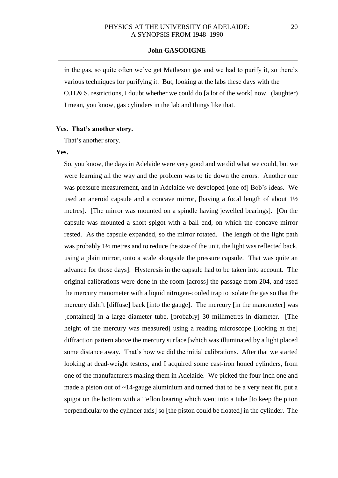in the gas, so quite often we've get Matheson gas and we had to purify it, so there's various techniques for purifying it. But, looking at the labs these days with the O.H.& S. restrictions, I doubt whether we could do [a lot of the work] now. (laughter) I mean, you know, gas cylinders in the lab and things like that.

### **Yes. That's another story.**

That's another story.

#### **Yes.**

So, you know, the days in Adelaide were very good and we did what we could, but we were learning all the way and the problem was to tie down the errors. Another one was pressure measurement, and in Adelaide we developed [one of] Bob's ideas. We used an aneroid capsule and a concave mirror, [having a focal length of about 1½ metres]. [The mirror was mounted on a spindle having jewelled bearings]. [On the capsule was mounted a short spigot with a ball end, on which the concave mirror rested. As the capsule expanded, so the mirror rotated. The length of the light path was probably 1½ metres and to reduce the size of the unit, the light was reflected back, using a plain mirror, onto a scale alongside the pressure capsule. That was quite an advance for those days]. Hysteresis in the capsule had to be taken into account. The original calibrations were done in the room [across] the passage from 204, and used the mercury manometer with a liquid nitrogen-cooled trap to isolate the gas so that the mercury didn't [diffuse] back [into the gauge]. The mercury [in the manometer] was [contained] in a large diameter tube, [probably] 30 millimetres in diameter. [The height of the mercury was measured using a reading microscope [looking at the] diffraction pattern above the mercury surface [which was illuminated by a light placed some distance away. That's how we did the initial calibrations. After that we started looking at dead-weight testers, and I acquired some cast-iron honed cylinders, from one of the manufacturers making them in Adelaide. We picked the four-inch one and made a piston out of  $\sim$ 14-gauge aluminium and turned that to be a very neat fit, put a spigot on the bottom with a Teflon bearing which went into a tube [to keep the piton perpendicular to the cylinder axis] so [the piston could be floated] in the cylinder. The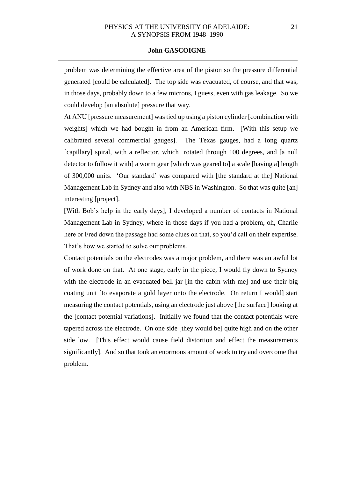## PHYSICS AT THE UNIVERSITY OF ADELAIDE: 21 A SYNOPSIS FROM 1948–1990

#### **John GASCOIGNE**

problem was determining the effective area of the piston so the pressure differential generated [could be calculated]. The top side was evacuated, of course, and that was, in those days, probably down to a few microns, I guess, even with gas leakage. So we could develop [an absolute] pressure that way.

At ANU [pressure measurement] was tied up using a piston cylinder [combination with weights] which we had bought in from an American firm. [With this setup we calibrated several commercial gauges]. The Texas gauges, had a long quartz [capillary] spiral, with a reflector, which rotated through 100 degrees, and [a null] detector to follow it with] a worm gear [which was geared to] a scale [having a] length of 300,000 units. 'Our standard' was compared with [the standard at the] National Management Lab in Sydney and also with NBS in Washington. So that was quite [an] interesting [project].

[With Bob's help in the early days], I developed a number of contacts in National Management Lab in Sydney, where in those days if you had a problem, oh, Charlie here or Fred down the passage had some clues on that, so you'd call on their expertise. That's how we started to solve our problems.

Contact potentials on the electrodes was a major problem, and there was an awful lot of work done on that. At one stage, early in the piece, I would fly down to Sydney with the electrode in an evacuated bell jar [in the cabin with me] and use their big coating unit [to evaporate a gold layer onto the electrode. On return I would] start measuring the contact potentials, using an electrode just above [the surface] looking at the [contact potential variations]. Initially we found that the contact potentials were tapered across the electrode. On one side [they would be] quite high and on the other side low. [This effect would cause field distortion and effect the measurements significantly]. And so that took an enormous amount of work to try and overcome that problem.